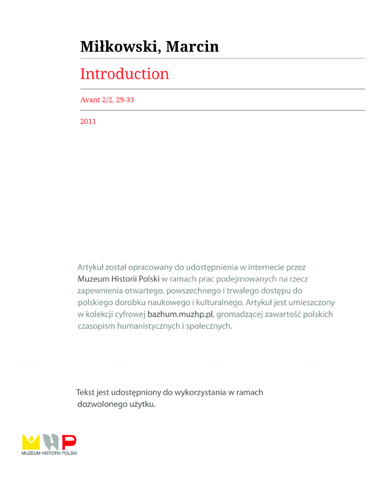## Miłkowski, Marcin

# Introduction

Avant 2/2, 29-33

2011

Artykuł został opracowany do udostępnienia w internecie przez Muzeum Historii Polski w ramach prac podejmowanych na rzecz zapewnienia otwartego, powszechnego i trwałego dostępu do polskiego dorobku naukowego i kulturalnego. Artykuł jest umieszczony w kolekcji cyfrowej bazhum.muzhp.pl, gromadzącej zawartość polskich czasopism humanistycznych i społecznych.

Tekst jest udostępniony do wykorzystania w ramach dozwolonego użytku.

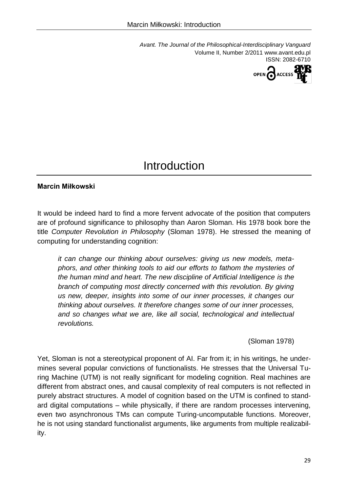*Avant. The Journal of the Philosophical-Interdisciplinary Vanguard* Volume II, Number 2/2011 www.avant.edu.pl ISSN: 2082-6710



## Introduction

### **Marcin Miłkowski**

It would be indeed hard to find a more fervent advocate of the position that computers are of profound significance to philosophy than Aaron Sloman. His 1978 book bore the title *Computer Revolution in Philosophy* (Sloman 1978). He stressed the meaning of computing for understanding cognition:

*it can change our thinking about ourselves: giving us new models, metaphors, and other thinking tools to aid our efforts to fathom the mysteries of the human mind and heart. The new discipline of Artificial Intelligence is the branch of computing most directly concerned with this revolution. By giving us new, deeper, insights into some of our inner processes, it changes our thinking about ourselves. It therefore changes some of our inner processes, and so changes what we are, like all social, technological and intellectual revolutions.*

(Sloman 1978)

Yet, Sloman is not a stereotypical proponent of AI. Far from it; in his writings, he undermines several popular convictions of functionalists. He stresses that the Universal Turing Machine (UTM) is not really significant for modeling cognition. Real machines are different from abstract ones, and causal complexity of real computers is not reflected in purely abstract structures. A model of cognition based on the UTM is confined to standard digital computations – while physically, if there are random processes intervening, even two asynchronous TMs can compute Turing-uncomputable functions. Moreover, he is not using standard functionalist arguments, like arguments from multiple realizability.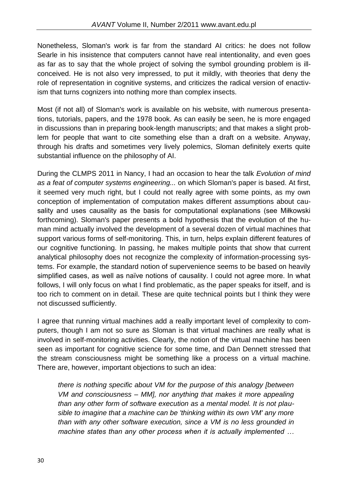Nonetheless, Sloman's work is far from the standard AI critics: he does not follow Searle in his insistence that computers cannot have real intentionality, and even goes as far as to say that the whole project of solving the symbol grounding problem is illconceived. He is not also very impressed, to put it mildly, with theories that deny the role of representation in cognitive systems, and criticizes the radical version of enactivism that turns cognizers into nothing more than complex insects.

Most (if not all) of Sloman's work is available on his website, with numerous presentations, tutorials, papers, and the 1978 book. As can easily be seen, he is more engaged in discussions than in preparing book-length manuscripts; and that makes a slight problem for people that want to cite something else than a draft on a website. Anyway, through his drafts and sometimes very lively polemics, Sloman definitely exerts quite substantial influence on the philosophy of AI.

During the CLMPS 2011 in Nancy, I had an occasion to hear the talk *Evolution of mind as a feat of computer systems engineering...* on which Sloman's paper is based. At first, it seemed very much right, but I could not really agree with some points, as my own conception of implementation of computation makes different assumptions about causality and uses causality as the basis for computational explanations (see Miłkowski forthcoming). Sloman's paper presents a bold hypothesis that the evolution of the human mind actually involved the development of a several dozen of virtual machines that support various forms of self-monitoring. This, in turn, helps explain different features of our cognitive functioning. In passing, he makes multiple points that show that current analytical philosophy does not recognize the complexity of information-processing systems. For example, the standard notion of supervenience seems to be based on heavily simplified cases, as well as naïve notions of causality. I could not agree more. In what follows, I will only focus on what I find problematic, as the paper speaks for itself, and is too rich to comment on in detail. These are quite technical points but I think they were not discussed sufficiently.

I agree that running virtual machines add a really important level of complexity to computers, though I am not so sure as Sloman is that virtual machines are really what is involved in self-monitoring activities. Clearly, the notion of the virtual machine has been seen as important for cognitive science for some time, and Dan Dennett stressed that the stream consciousness might be something like a process on a virtual machine. There are, however, important objections to such an idea:

*there is nothing specific about VM for the purpose of this analogy [between VM and consciousness – MM], nor anything that makes it more appealing than any other form of software execution as a mental model. It is not plausible to imagine that a machine can be 'thinking within its own VM' any more than with any other software execution, since a VM is no less grounded in machine states than any other process when it is actually implemented …*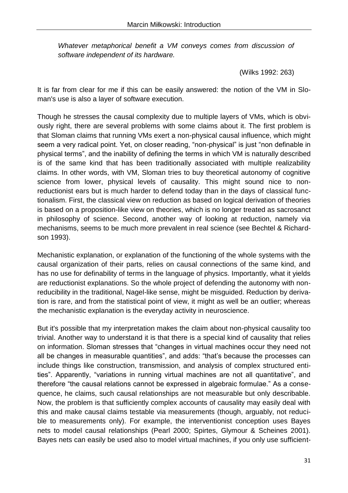*Whatever metaphorical benefit a VM conveys comes from discussion of software independent of its hardware.*

(Wilks 1992: 263)

It is far from clear for me if this can be easily answered: the notion of the VM in Sloman's use is also a layer of software execution.

Though he stresses the causal complexity due to multiple layers of VMs, which is obviously right, there are several problems with some claims about it. The first problem is that Sloman claims that running VMs exert a non-physical causal influence, which might seem a very radical point. Yet, on closer reading, "non-physical" is just "non definable in physical terms", and the inability of defining the terms in which VM is naturally described is of the same kind that has been traditionally associated with multiple realizability claims. In other words, with VM, Sloman tries to buy theoretical autonomy of cognitive science from lower, physical levels of causality. This might sound nice to nonreductionist ears but is much harder to defend today than in the days of classical functionalism. First, the classical view on reduction as based on logical derivation of theories is based on a proposition-like view on theories, which is no longer treated as sacrosanct in philosophy of science. Second, another way of looking at reduction, namely via mechanisms, seems to be much more prevalent in real science (see Bechtel & Richardson 1993).

Mechanistic explanation, or explanation of the functioning of the whole systems with the causal organization of their parts, relies on causal connections of the same kind, and has no use for definability of terms in the language of physics. Importantly, what it yields are reductionist explanations. So the whole project of defending the autonomy with nonreducibility in the traditional, Nagel-like sense, might be misguided. Reduction by derivation is rare, and from the statistical point of view, it might as well be an outlier; whereas the mechanistic explanation is the everyday activity in neuroscience.

But it's possible that my interpretation makes the claim about non-physical causality too trivial. Another way to understand it is that there is a special kind of causality that relies on information. Sloman stresses that "changes in virtual machines occur they need not all be changes in measurable quantities", and adds: "that's because the processes can include things like construction, transmission, and analysis of complex structured entities". Apparently, "variations in running virtual machines are not all quantitative", and therefore "the causal relations cannot be expressed in algebraic formulae." As a consequence, he claims, such causal relationships are not measurable but only describable. Now, the problem is that sufficiently complex accounts of causality may easily deal with this and make causal claims testable via measurements (though, arguably, not reducible to measurements only). For example, the interventionist conception uses Bayes nets to model causal relationships (Pearl 2000; Spirtes, Glymour & Scheines 2001). Bayes nets can easily be used also to model virtual machines, if you only use sufficient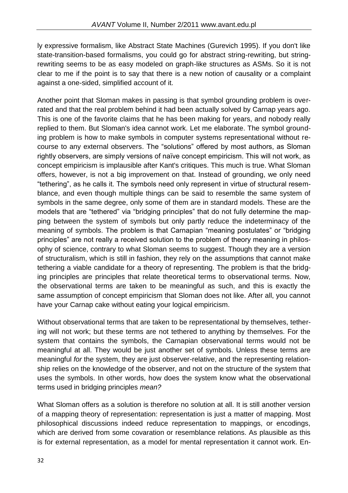ly expressive formalism, like Abstract State Machines (Gurevich 1995). If you don't like state-transition-based formalisms, you could go for abstract string-rewriting, but stringrewriting seems to be as easy modeled on graph-like structures as ASMs. So it is not clear to me if the point is to say that there is a new notion of causality or a complaint against a one-sided, simplified account of it.

Another point that Sloman makes in passing is that symbol grounding problem is overrated and that the real problem behind it had been actually solved by Carnap years ago. This is one of the favorite claims that he has been making for years, and nobody really replied to them. But Sloman's idea cannot work. Let me elaborate. The symbol grounding problem is how to make symbols in computer systems representational without recourse to any external observers. The "solutions" offered by most authors, as Sloman rightly observers, are simply versions of naïve concept empiricism. This will not work, as concept empiricism is implausible after Kant's critiques. This much is true. What Sloman offers, however, is not a big improvement on that. Instead of grounding, we only need "tethering", as he calls it. The symbols need only represent in virtue of structural resemblance, and even though multiple things can be said to resemble the same system of symbols in the same degree, only some of them are in standard models. These are the models that are "tethered" via "bridging principles" that do not fully determine the mapping between the system of symbols but only partly reduce the indeterminacy of the meaning of symbols. The problem is that Carnapian "meaning postulates" or "bridging principles" are not really a received solution to the problem of theory meaning in philosophy of science, contrary to what Sloman seems to suggest. Though they are a version of structuralism, which is still in fashion, they rely on the assumptions that cannot make tethering a viable candidate for a theory of representing. The problem is that the bridging principles are principles that relate theoretical terms to observational terms. Now, the observational terms are taken to be meaningful as such, and this is exactly the same assumption of concept empiricism that Sloman does not like. After all, you cannot have your Carnap cake without eating your logical empiricism.

Without observational terms that are taken to be representational by themselves, tethering will not work; but these terms are not tethered to anything by themselves. For the system that contains the symbols, the Carnapian observational terms would not be meaningful at all. They would be just another set of symbols. Unless these terms are meaningful *for* the system, they are just observer-relative, and the representing relationship relies on the knowledge of the observer, and not on the structure of the system that uses the symbols. In other words, how does the system know what the observational terms used in bridging principles *mean?*

What Sloman offers as a solution is therefore no solution at all. It is still another version of a mapping theory of representation: representation is just a matter of mapping. Most philosophical discussions indeed reduce representation to mappings, or encodings, which are derived from some covaration or resemblance relations. As plausible as this is for external representation, as a model for mental representation it cannot work. En